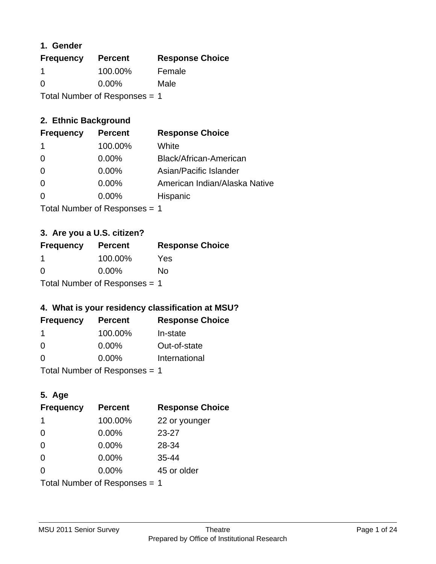## **1. Gender**

| <b>Frequency</b> | <b>Percent</b>                  | <b>Response Choice</b> |
|------------------|---------------------------------|------------------------|
| -1               | 100.00%                         | Female                 |
| $\Omega$         | $0.00\%$                        | Male                   |
|                  | Total Number of Responses $= 1$ |                        |

# **2. Ethnic Background**

| <b>Frequency</b> | <b>Percent</b> | <b>Response Choice</b>        |
|------------------|----------------|-------------------------------|
|                  | 100.00%        | White                         |
| $\Omega$         | $0.00\%$       | Black/African-American        |
| $\Omega$         | $0.00\%$       | Asian/Pacific Islander        |
| $\Omega$         | 0.00%          | American Indian/Alaska Native |
|                  | $0.00\%$       | Hispanic                      |
|                  |                |                               |

Total Number of Responses = 1

# **3. Are you a U.S. citizen?**

| <b>Frequency</b>                | <b>Percent</b> | <b>Response Choice</b> |
|---------------------------------|----------------|------------------------|
|                                 | 100.00%        | Yes                    |
| $\Omega$                        | $0.00\%$       | N٥                     |
| Total Number of Responses $= 1$ |                |                        |

# **4. What is your residency classification at MSU?**

| <b>Frequency</b> | <b>Percent</b> | <b>Response Choice</b> |
|------------------|----------------|------------------------|
|                  | 100.00%        | In-state               |
| $\Omega$         | $0.00\%$       | Out-of-state           |
| $\Omega$         | $0.00\%$       | International          |
|                  |                |                        |

Total Number of Responses = 1

# **5. Age**

| <b>Frequency</b>              | <b>Percent</b> | <b>Response Choice</b> |
|-------------------------------|----------------|------------------------|
| 1                             | 100.00%        | 22 or younger          |
| $\Omega$                      | 0.00%          | $23 - 27$              |
| $\Omega$                      | 0.00%          | 28-34                  |
| $\Omega$                      | $0.00\%$       | 35-44                  |
| $\Omega$                      | 0.00%          | 45 or older            |
| Total Number of Responses = 1 |                |                        |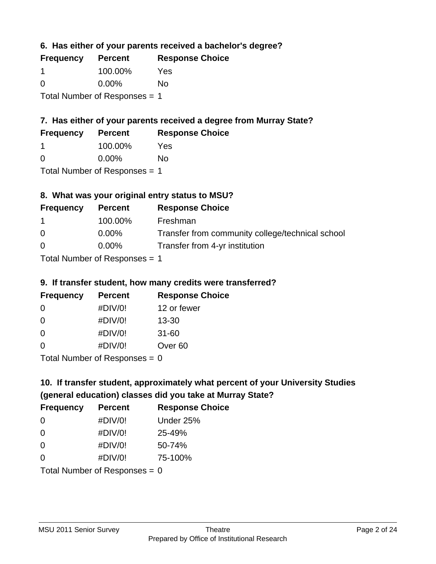**6. Has either of your parents received a bachelor's degree?**

| <b>Frequency</b>                | <b>Percent</b> | <b>Response Choice</b> |
|---------------------------------|----------------|------------------------|
|                                 | 100.00%        | Yes                    |
| $\Omega$                        | $0.00\%$       | No                     |
| Total Number of Responses $= 1$ |                |                        |

# **7. Has either of your parents received a degree from Murray State?**

| <b>Frequency</b> | <b>Percent</b> | <b>Response Choice</b> |
|------------------|----------------|------------------------|
|                  | 100.00%        | Yes                    |
|                  |                |                        |

0 0.00% No

Total Number of Responses = 1

# **8. What was your original entry status to MSU?**

| <b>Frequency</b> | <b>Percent</b>              | <b>Response Choice</b>                           |
|------------------|-----------------------------|--------------------------------------------------|
| $\mathbf 1$      | 100.00%                     | Freshman                                         |
| $\Omega$         | $0.00\%$                    | Transfer from community college/technical school |
| $\Omega$         | $0.00\%$                    | Transfer from 4-yr institution                   |
|                  | Tetal Niusalan of Despenses |                                                  |

Total Number of Responses = 1

# **9. If transfer student, how many credits were transferred?**

| <b>Frequency</b> | <b>Percent</b>                                                                                                 | <b>Response Choice</b> |
|------------------|----------------------------------------------------------------------------------------------------------------|------------------------|
| -0               | #DIV/0!                                                                                                        | 12 or fewer            |
| 0                | #DIV/0!                                                                                                        | $13 - 30$              |
| 0                | #DIV/0!                                                                                                        | $31 - 60$              |
| $\Omega$         | #DIV/0!                                                                                                        | Over <sub>60</sub>     |
|                  | THE INDIAN CONTRACT COMMUNICATION CONTRACT OF THE U.S. COMMUNICATION CONTRACT OF THE U.S. COMMUNICATE OF THE U |                        |

Total Number of Responses = 0

# **10. If transfer student, approximately what percent of your University Studies (general education) classes did you take at Murray State?**

| <b>Frequency</b> | <b>Percent</b>                  | <b>Response Choice</b> |
|------------------|---------------------------------|------------------------|
| $\Omega$         | #DIV/0!                         | Under 25%              |
| $\Omega$         | #DIV/0!                         | 25-49%                 |
| $\Omega$         | #DIV/0!                         | 50-74%                 |
| $\Omega$         | #DIV/0!                         | 75-100%                |
|                  | Total Number of Responses = $0$ |                        |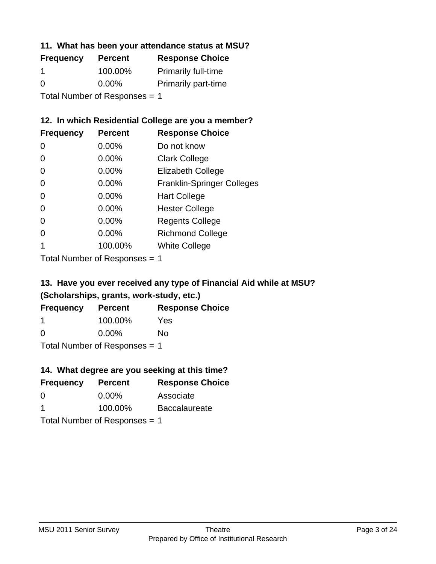## **11. What has been your attendance status at MSU?**

| <b>Frequency</b>              | <b>Percent</b> | <b>Response Choice</b>     |
|-------------------------------|----------------|----------------------------|
|                               | 100.00%        | <b>Primarily full-time</b> |
| $\Omega$                      | $0.00\%$       | <b>Primarily part-time</b> |
| Total Number of Responses = 1 |                |                            |

# **12. In which Residential College are you a member?**

| <b>Frequency</b> | <b>Percent</b> | <b>Response Choice</b>            |
|------------------|----------------|-----------------------------------|
| 0                | 0.00%          | Do not know                       |
| 0                | 0.00%          | <b>Clark College</b>              |
| 0                | 0.00%          | <b>Elizabeth College</b>          |
| 0                | $0.00\%$       | <b>Franklin-Springer Colleges</b> |
| 0                | 0.00%          | <b>Hart College</b>               |
| 0                | 0.00%          | <b>Hester College</b>             |
| 0                | 0.00%          | <b>Regents College</b>            |
| 0                | 0.00%          | <b>Richmond College</b>           |
|                  | 100.00%        | <b>White College</b>              |
|                  |                |                                   |

Total Number of Responses = 1

# **13. Have you ever received any type of Financial Aid while at MSU? (Scholarships, grants, work-study, etc.)**

| <b>Frequency</b>              | <b>Percent</b> | <b>Response Choice</b> |
|-------------------------------|----------------|------------------------|
| -1                            | 100.00%        | Yes                    |
| $\Omega$                      | $0.00\%$       | Nο                     |
| Total Number of Responses = 1 |                |                        |

**14. What degree are you seeking at this time?**

| $1.7.$ Think avgree are you occurring at this third . |                |                        |  |
|-------------------------------------------------------|----------------|------------------------|--|
| <b>Frequency</b>                                      | <b>Percent</b> | <b>Response Choice</b> |  |
| 0                                                     | $0.00\%$       | Associate              |  |
| 1                                                     | 100.00%        | <b>Baccalaureate</b>   |  |
| Total Number of Responses = 1                         |                |                        |  |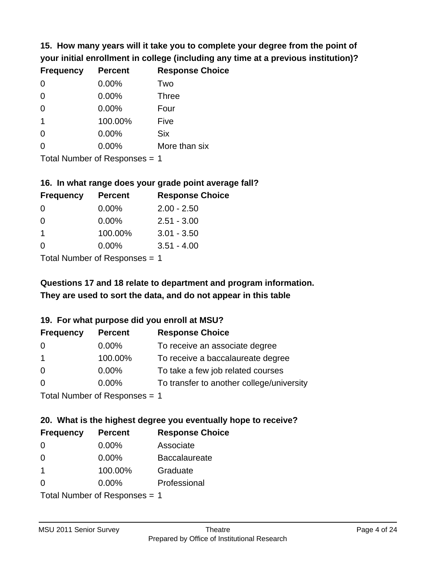**15. How many years will it take you to complete your degree from the point of your initial enrollment in college (including any time at a previous institution)?**

| <b>Frequency</b> | <b>Percent</b> | <b>Response Choice</b> |
|------------------|----------------|------------------------|
| 0                | 0.00%          | Two                    |
| 0                | 0.00%          | <b>Three</b>           |
| $\overline{0}$   | 0.00%          | Four                   |
| $\mathbf{1}$     | 100.00%        | Five                   |
| 0                | 0.00%          | <b>Six</b>             |
| $\overline{0}$   | 0.00%          | More than six          |
|                  |                |                        |

Total Number of Responses = 1

### **16. In what range does your grade point average fall?**

| <b>Frequency</b> | <b>Percent</b> | <b>Response Choice</b> |
|------------------|----------------|------------------------|
| 0                | 0.00%          | $2.00 - 2.50$          |
| 0                | $0.00\%$       | $2.51 - 3.00$          |
| 1                | 100.00%        | $3.01 - 3.50$          |
| 0                | 0.00%          | $3.51 - 4.00$          |
|                  |                |                        |

Total Number of Responses = 1

# **They are used to sort the data, and do not appear in this table Questions 17 and 18 relate to department and program information.**

### **19. For what purpose did you enroll at MSU?**

| <b>Frequency</b>            | <b>Percent</b> | <b>Response Choice</b>                    |
|-----------------------------|----------------|-------------------------------------------|
| 0                           | $0.00\%$       | To receive an associate degree            |
| $\overline{1}$              | 100.00%        | To receive a baccalaureate degree         |
| $\overline{0}$              | $0.00\%$       | To take a few job related courses         |
| $\Omega$                    | $0.00\%$       | To transfer to another college/university |
| Total Number of Deepensee 1 |                |                                           |

Total Number of Responses = 1

# **20. What is the highest degree you eventually hope to receive?**

| <b>Frequency</b> | <b>Percent</b>                | <b>Response Choice</b> |
|------------------|-------------------------------|------------------------|
| 0                | $0.00\%$                      | Associate              |
| 0                | 0.00%                         | <b>Baccalaureate</b>   |
| $\mathbf 1$      | 100.00%                       | Graduate               |
| 0                | $0.00\%$                      | Professional           |
|                  | Total Number of Responses = 1 |                        |

MSU 2011 Senior Survey **Theatre**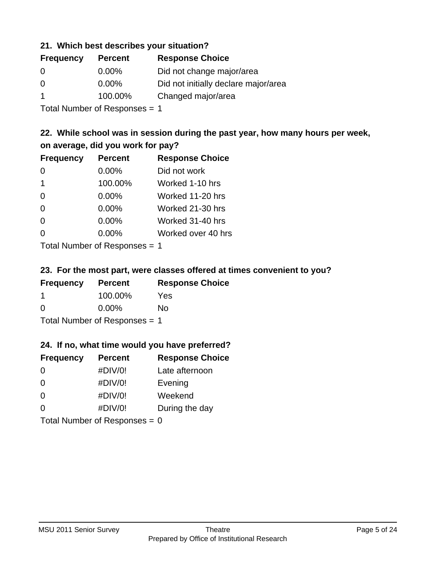## **21. Which best describes your situation?**

| <b>Frequency</b> | <b>Percent</b> | <b>Response Choice</b>               |
|------------------|----------------|--------------------------------------|
| 0                | $0.00\%$       | Did not change major/area            |
| $\Omega$         | $0.00\%$       | Did not initially declare major/area |
|                  | 100.00%        | Changed major/area                   |
|                  |                |                                      |

Total Number of Responses = 1

## **22. While school was in session during the past year, how many hours per week, on average, did you work for pay?**

| <b>Frequency</b> | <b>Percent</b> | <b>Response Choice</b> |
|------------------|----------------|------------------------|
| $\Omega$         | 0.00%          | Did not work           |
| $\mathbf 1$      | 100.00%        | Worked 1-10 hrs        |
| $\Omega$         | 0.00%          | Worked 11-20 hrs       |
| $\Omega$         | 0.00%          | Worked 21-30 hrs       |
| $\Omega$         | 0.00%          | Worked 31-40 hrs       |
| $\Omega$         | 0.00%          | Worked over 40 hrs     |
|                  |                |                        |

Total Number of Responses = 1

### **23. For the most part, were classes offered at times convenient to you?**

| <b>Frequency</b>                | <b>Percent</b> | <b>Response Choice</b> |
|---------------------------------|----------------|------------------------|
|                                 | 100.00%        | Yes                    |
| $\Omega$                        | $0.00\%$       | No                     |
| Total Number of Responses $= 1$ |                |                        |

### **24. If no, what time would you have preferred?**

| <b>Frequency</b> | <b>Percent</b>                  | <b>Response Choice</b> |
|------------------|---------------------------------|------------------------|
| $\Omega$         | #DIV/0!                         | Late afternoon         |
| $\Omega$         | #DIV/0!                         | Evening                |
| $\Omega$         | #DIV/0!                         | Weekend                |
| $\Omega$         | #DIV/0!                         | During the day         |
|                  | Total Number of Responses = $0$ |                        |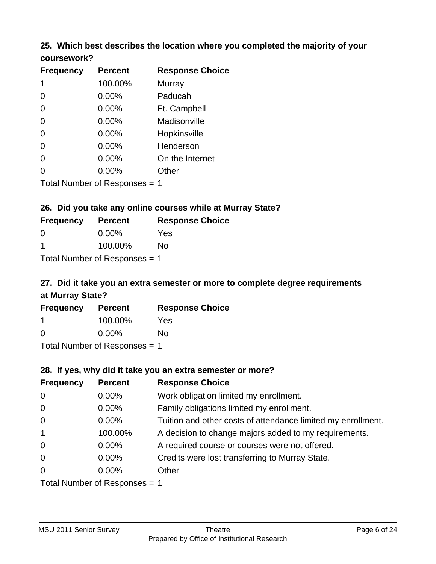## **25. Which best describes the location where you completed the majority of your coursework?**

| <b>Frequency</b>                  | <b>Percent</b>    | <b>Response Choice</b> |
|-----------------------------------|-------------------|------------------------|
| 1                                 | 100.00%           | <b>Murray</b>          |
| 0                                 | 0.00%             | Paducah                |
| $\overline{0}$                    | 0.00%             | Ft. Campbell           |
| $\overline{0}$                    | 0.00%             | Madisonville           |
| $\overline{0}$                    | 0.00%             | Hopkinsville           |
| $\overline{0}$                    | 0.00%             | Henderson              |
| 0                                 | 0.00%             | On the Internet        |
| 0                                 | 0.00%             | Other                  |
| تستحدث والممتدح المناسبة المستحدث | $\epsilon$ $\sim$ | $\overline{ }$         |

Total Number of Responses = 1

## **26. Did you take any online courses while at Murray State?**

| <b>Frequency</b> | <b>Percent</b>                  | <b>Response Choice</b> |
|------------------|---------------------------------|------------------------|
| - 0              | $0.00\%$                        | Yes                    |
|                  | 100.00%                         | No                     |
|                  | Total Number of Responses $= 1$ |                        |

# **27. Did it take you an extra semester or more to complete degree requirements at Murray State?**

| <b>Frequency</b>           | <b>Percent</b> | <b>Response Choice</b> |
|----------------------------|----------------|------------------------|
|                            | 100.00%        | Yes                    |
| $\Omega$                   | $0.00\%$       | Nο                     |
| Tatal Manakan af Dannanana |                |                        |

Total Number of Responses = 1

### **28. If yes, why did it take you an extra semester or more?**

| <b>Frequency</b>                | <b>Percent</b> | <b>Response Choice</b>                                       |
|---------------------------------|----------------|--------------------------------------------------------------|
| $\mathbf 0$                     | 0.00%          | Work obligation limited my enrollment.                       |
| $\mathbf 0$                     | 0.00%          | Family obligations limited my enrollment.                    |
| $\mathbf 0$                     | 0.00%          | Tuition and other costs of attendance limited my enrollment. |
| $\mathbf{1}$                    | 100.00%        | A decision to change majors added to my requirements.        |
| $\overline{0}$                  | $0.00\%$       | A required course or courses were not offered.               |
| $\mathbf 0$                     | $0.00\%$       | Credits were lost transferring to Murray State.              |
| $\overline{0}$                  | $0.00\%$       | Other                                                        |
| Total Number of Responses $= 1$ |                |                                                              |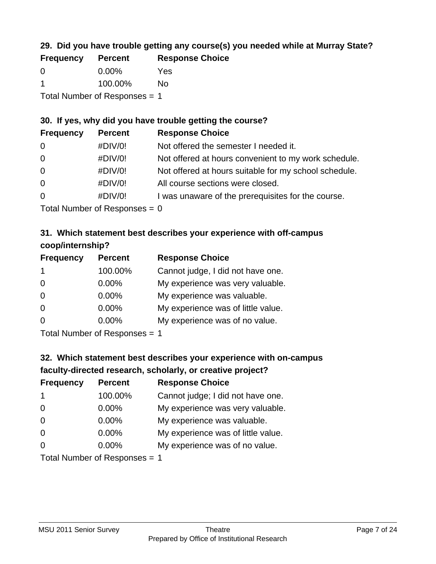# **29. Did you have trouble getting any course(s) you needed while at Murray State?**

| <b>Frequency</b>                | <b>Percent</b> | <b>Response Choice</b> |
|---------------------------------|----------------|------------------------|
| - ()                            | $0.00\%$       | Yes                    |
|                                 | 100.00%        | Nο                     |
| Total Number of Responses $= 1$ |                |                        |

## **30. If yes, why did you have trouble getting the course?**

| <b>Frequency</b> | <b>Percent</b> | <b>Response Choice</b>                                |
|------------------|----------------|-------------------------------------------------------|
| $\overline{0}$   | #DIV/0!        | Not offered the semester I needed it.                 |
| $\overline{0}$   | #DIV/0!        | Not offered at hours convenient to my work schedule.  |
| $\overline{0}$   | #DIV/0!        | Not offered at hours suitable for my school schedule. |
| $\overline{0}$   | #DIV/0!        | All course sections were closed.                      |
| $\overline{0}$   | #DIV/0!        | I was unaware of the prerequisites for the course.    |
|                  |                |                                                       |

Total Number of Responses  $= 0$ 

# **31. Which statement best describes your experience with off-campus coop/internship?**

| <b>Frequency</b> | <b>Percent</b>                                                         | <b>Response Choice</b>             |
|------------------|------------------------------------------------------------------------|------------------------------------|
| 1                | 100.00%                                                                | Cannot judge, I did not have one.  |
| $\Omega$         | $0.00\%$                                                               | My experience was very valuable.   |
| $\Omega$         | $0.00\%$                                                               | My experience was valuable.        |
| $\Omega$         | 0.00%                                                                  | My experience was of little value. |
| $\Omega$         | $0.00\%$                                                               | My experience was of no value.     |
|                  | $\tau$ . $\tau$ . In the set of $\tau$ , and $\tau$ is a set of $\tau$ |                                    |

Total Number of Responses = 1

# **32. Which statement best describes your experience with on-campus faculty-directed research, scholarly, or creative project?**

| <b>Frequency</b> | <b>Percent</b>                 | <b>Response Choice</b>             |
|------------------|--------------------------------|------------------------------------|
| -1               | 100.00%                        | Cannot judge; I did not have one.  |
| $\overline{0}$   | 0.00%                          | My experience was very valuable.   |
| $\overline{0}$   | $0.00\%$                       | My experience was valuable.        |
| $\Omega$         | 0.00%                          | My experience was of little value. |
| $\Omega$         | 0.00%                          | My experience was of no value.     |
|                  | Tetal Niussis on of Desperance |                                    |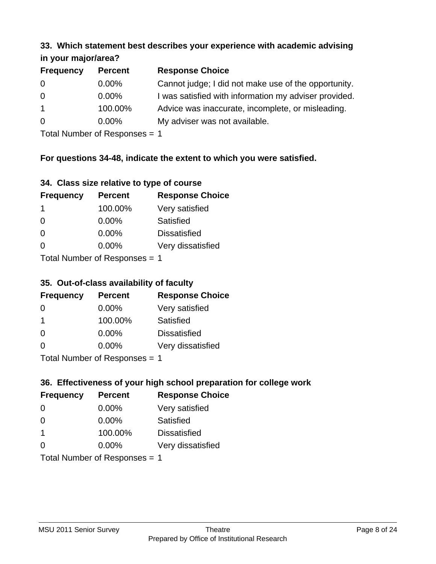#### **33. Which statement best describes your experience with academic advising in your major/area?**

| $\mathbf{u}$ yvu $\mathbf{u}$ yvu $\mathbf{u}$ |                |                                                       |
|------------------------------------------------|----------------|-------------------------------------------------------|
| <b>Frequency</b>                               | <b>Percent</b> | <b>Response Choice</b>                                |
| 0                                              | $0.00\%$       | Cannot judge; I did not make use of the opportunity.  |
| $\overline{0}$                                 | $0.00\%$       | I was satisfied with information my adviser provided. |
| $\overline{1}$                                 | 100.00%        | Advice was inaccurate, incomplete, or misleading.     |
| $\overline{0}$                                 | $0.00\%$       | My adviser was not available.                         |
|                                                |                |                                                       |

Total Number of Responses = 1

# **For questions 34-48, indicate the extent to which you were satisfied.**

| 34. Class size relative to type of course |
|-------------------------------------------|
|-------------------------------------------|

| <b>Frequency</b>              | <b>Percent</b> | <b>Response Choice</b> |  |
|-------------------------------|----------------|------------------------|--|
| -1                            | 100.00%        | Very satisfied         |  |
| $\Omega$                      | $0.00\%$       | <b>Satisfied</b>       |  |
| $\Omega$                      | $0.00\%$       | <b>Dissatisfied</b>    |  |
| $\Omega$                      | $0.00\%$       | Very dissatisfied      |  |
| Total Number of Poenances - 1 |                |                        |  |

Total Number of Responses = 1

## **35. Out-of-class availability of faculty**

| <b>Frequency</b>               | <b>Percent</b> | <b>Response Choice</b> |  |
|--------------------------------|----------------|------------------------|--|
| $\Omega$                       | $0.00\%$       | Very satisfied         |  |
| -1                             | 100.00%        | Satisfied              |  |
| $\Omega$                       | 0.00%          | <b>Dissatisfied</b>    |  |
| $\Omega$                       | 0.00%          | Very dissatisfied      |  |
| $Total Number of DoEROROR = 1$ |                |                        |  |

Total Number of Responses = 1

# **36. Effectiveness of your high school preparation for college work**

| <b>Frequency</b> | <b>Percent</b>                | <b>Response Choice</b> |
|------------------|-------------------------------|------------------------|
| $\Omega$         | $0.00\%$                      | Very satisfied         |
| $\Omega$         | 0.00%                         | Satisfied              |
| $\mathbf 1$      | 100.00%                       | <b>Dissatisfied</b>    |
| $\Omega$         | 0.00%                         | Very dissatisfied      |
|                  | Total Number of Responses = 1 |                        |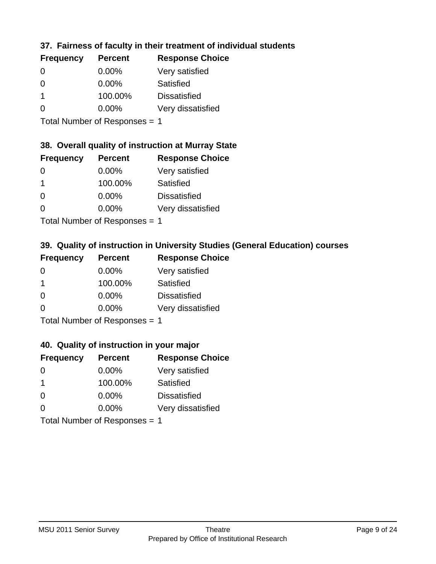# **37. Fairness of faculty in their treatment of individual students**

| <b>Frequency</b> | <b>Percent</b> | <b>Response Choice</b> |
|------------------|----------------|------------------------|
| $\Omega$         | $0.00\%$       | Very satisfied         |
| $\Omega$         | 0.00%          | Satisfied              |
|                  | 100.00%        | <b>Dissatisfied</b>    |
| $\Omega$         | 0.00%          | Very dissatisfied      |
|                  |                |                        |

Total Number of Responses = 1

### **38. Overall quality of instruction at Murray State**

| <b>Frequency</b> | <b>Percent</b> | <b>Response Choice</b> |
|------------------|----------------|------------------------|
| 0                | $0.00\%$       | Very satisfied         |
|                  | 100.00%        | Satisfied              |
| $\Omega$         | 0.00%          | <b>Dissatisfied</b>    |
| ∩                | 0.00%          | Very dissatisfied      |
|                  |                |                        |

Total Number of Responses = 1

# **39. Quality of instruction in University Studies (General Education) courses**

| <b>Frequency</b> | <b>Percent</b>             | <b>Response Choice</b> |
|------------------|----------------------------|------------------------|
| $\Omega$         | 0.00%                      | Very satisfied         |
| -1               | 100.00%                    | Satisfied              |
| $\Omega$         | 0.00%                      | <b>Dissatisfied</b>    |
| $\Omega$         | 0.00%                      | Very dissatisfied      |
|                  | Tatal Number of Desperance |                        |

Total Number of Responses = 1

#### **40. Quality of instruction in your major**

| <b>Frequency</b>              | <b>Percent</b> | <b>Response Choice</b> |
|-------------------------------|----------------|------------------------|
| $\Omega$                      | $0.00\%$       | Very satisfied         |
| $\mathbf 1$                   | 100.00%        | Satisfied              |
| $\Omega$                      | $0.00\%$       | <b>Dissatisfied</b>    |
| $\Omega$                      | $0.00\%$       | Very dissatisfied      |
| Total Number of Responses = 1 |                |                        |

MSU 2011 Senior Survey **Theatre**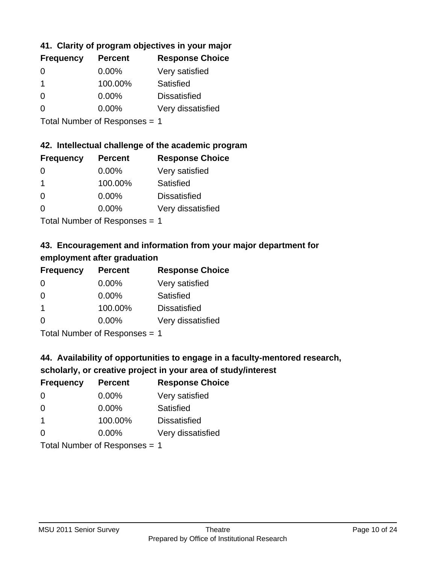# **41. Clarity of program objectives in your major**

| <b>Frequency</b> | <b>Percent</b> | <b>Response Choice</b> |
|------------------|----------------|------------------------|
| ∩                | $0.00\%$       | Very satisfied         |
|                  | 100.00%        | Satisfied              |
| $\Omega$         | $0.00\%$       | <b>Dissatisfied</b>    |
|                  | $0.00\%$       | Very dissatisfied      |
|                  |                |                        |

Total Number of Responses = 1

# **42. Intellectual challenge of the academic program**

| <b>Frequency</b> | <b>Percent</b> | <b>Response Choice</b> |
|------------------|----------------|------------------------|
| 0                | 0.00%          | Very satisfied         |
|                  | 100.00%        | Satisfied              |
| $\Omega$         | 0.00%          | <b>Dissatisfied</b>    |
| $\Omega$         | 0.00%          | Very dissatisfied      |
|                  |                |                        |

Total Number of Responses = 1

# **43. Encouragement and information from your major department for employment after graduation**

| <b>Frequency</b> | <b>Percent</b>             | <b>Response Choice</b> |
|------------------|----------------------------|------------------------|
| 0                | $0.00\%$                   | Very satisfied         |
| $\Omega$         | $0.00\%$                   | Satisfied              |
| $\mathbf 1$      | 100.00%                    | <b>Dissatisfied</b>    |
| $\Omega$         | $0.00\%$                   | Very dissatisfied      |
|                  | Total Number of Desperance |                        |

Total Number of Responses = 1

# **44. Availability of opportunities to engage in a faculty-mentored research,**

## **scholarly, or creative project in your area of study/interest**

| <b>Frequency</b> | <b>Percent</b>                | <b>Response Choice</b> |
|------------------|-------------------------------|------------------------|
| 0                | $0.00\%$                      | Very satisfied         |
| $\Omega$         | 0.00%                         | Satisfied              |
|                  | 100.00%                       | <b>Dissatisfied</b>    |
| $\Omega$         | $0.00\%$                      | Very dissatisfied      |
|                  | $T$ and Number of Description |                        |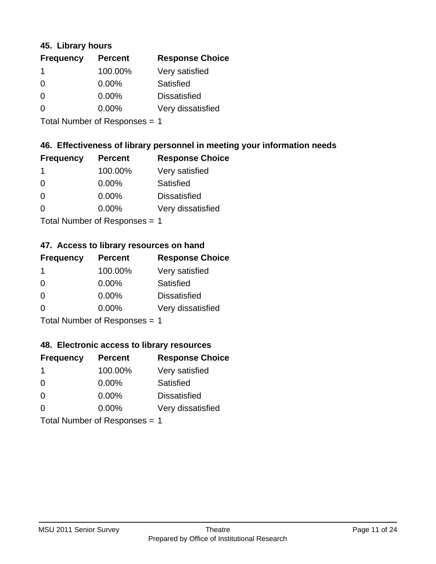## **45. Library hours**

| <b>Frequency</b> | <b>Percent</b> | <b>Response Choice</b> |
|------------------|----------------|------------------------|
|                  | 100.00%        | Very satisfied         |
| $\Omega$         | 0.00%          | Satisfied              |
| $\Omega$         | 0.00%          | <b>Dissatisfied</b>    |
| $\Omega$         | 0.00%          | Very dissatisfied      |
|                  |                |                        |

Total Number of Responses = 1

## **46. Effectiveness of library personnel in meeting your information needs**

| <b>Frequency</b> | <b>Percent</b> | <b>Response Choice</b> |
|------------------|----------------|------------------------|
|                  | 100.00%        | Very satisfied         |
| $\Omega$         | $0.00\%$       | Satisfied              |
| 0                | $0.00\%$       | <b>Dissatisfied</b>    |
| n                | $0.00\%$       | Very dissatisfied      |
|                  |                |                        |

Total Number of Responses = 1

# **47. Access to library resources on hand**

| <b>Frequency</b> | <b>Percent</b>            | <b>Response Choice</b> |
|------------------|---------------------------|------------------------|
| -1               | 100.00%                   | Very satisfied         |
| $\Omega$         | $0.00\%$                  | Satisfied              |
| $\Omega$         | $0.00\%$                  | <b>Dissatisfied</b>    |
| $\Omega$         | 0.00%                     | Very dissatisfied      |
|                  | Total Number of Deepensee |                        |

Total Number of Responses = 1

## **48. Electronic access to library resources**

| <b>Frequency</b>              | <b>Percent</b> | <b>Response Choice</b> |
|-------------------------------|----------------|------------------------|
| -1                            | 100.00%        | Very satisfied         |
| $\Omega$                      | 0.00%          | Satisfied              |
| $\Omega$                      | $0.00\%$       | <b>Dissatisfied</b>    |
| $\Omega$                      | $0.00\%$       | Very dissatisfied      |
| Total Number of Responses = 1 |                |                        |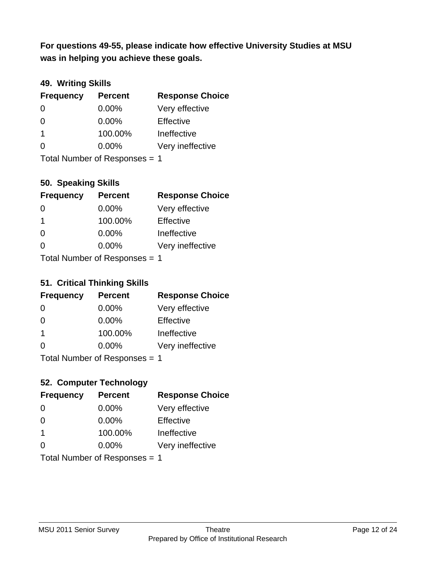**was in helping you achieve these goals. For questions 49-55, please indicate how effective University Studies at MSU** 

## **49. Writing Skills**

| <b>Frequency</b> | <b>Percent</b>                | <b>Response Choice</b> |
|------------------|-------------------------------|------------------------|
| $\Omega$         | $0.00\%$                      | Very effective         |
| $\Omega$         | 0.00%                         | Effective              |
| -1               | 100.00%                       | Ineffective            |
| $\Omega$         | $0.00\%$                      | Very ineffective       |
|                  | Total Number of Responses = 1 |                        |

**50. Speaking Skills**

| $\sim$ . $\sim$ p $\sim$ , $\sim$ $\sim$ |                |                        |
|------------------------------------------|----------------|------------------------|
| <b>Frequency</b>                         | <b>Percent</b> | <b>Response Choice</b> |
| $\Omega$                                 | 0.00%          | Very effective         |
| $\mathbf 1$                              | 100.00%        | Effective              |
| $\Omega$                                 | 0.00%          | Ineffective            |
| ∩                                        | 0.00%          | Very ineffective       |
| $Total Number of Denonce = 1$            |                |                        |

Total Number of Responses = 1

## **51. Critical Thinking Skills**

| <b>Frequency</b>            | <b>Percent</b> | <b>Response Choice</b> |
|-----------------------------|----------------|------------------------|
| $\Omega$                    | $0.00\%$       | Very effective         |
| $\Omega$                    | 0.00%          | Effective              |
| $\mathbf 1$                 | 100.00%        | Ineffective            |
| $\Omega$                    | 0.00%          | Very ineffective       |
| Total Number of Denonce < 4 |                |                        |

Total Number of Responses = 1

# **52. Computer Technology**

| <b>Frequency</b>              | <b>Percent</b> | <b>Response Choice</b> |
|-------------------------------|----------------|------------------------|
| $\Omega$                      | $0.00\%$       | Very effective         |
| $\Omega$                      | $0.00\%$       | Effective              |
| $\mathbf 1$                   | 100.00%        | Ineffective            |
| $\Omega$                      | $0.00\%$       | Very ineffective       |
| Total Number of Responses = 1 |                |                        |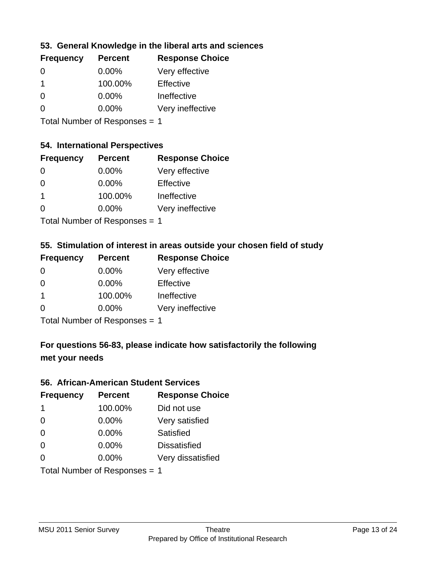## **53. General Knowledge in the liberal arts and sciences**

| <b>Frequency</b> | <b>Percent</b> | <b>Response Choice</b> |
|------------------|----------------|------------------------|
| 0                | $0.00\%$       | Very effective         |
|                  | 100.00%        | Effective              |
| $\Omega$         | $0.00\%$       | Ineffective            |
| O                | $0.00\%$       | Very ineffective       |
|                  |                |                        |

Total Number of Responses = 1

## **54. International Perspectives**

| <b>Frequency</b> | <b>Percent</b> | <b>Response Choice</b> |
|------------------|----------------|------------------------|
| $\Omega$         | $0.00\%$       | Very effective         |
| $\Omega$         | 0.00%          | Effective              |
| 1                | 100.00%        | Ineffective            |
| $\Omega$         | 0.00%          | Very ineffective       |
|                  |                |                        |

Total Number of Responses = 1

# **55. Stimulation of interest in areas outside your chosen field of study**

| <b>Frequency</b>              | <b>Percent</b> | <b>Response Choice</b> |
|-------------------------------|----------------|------------------------|
| $\Omega$                      | 0.00%          | Very effective         |
| $\Omega$                      | $0.00\%$       | Effective              |
| $\mathbf 1$                   | 100.00%        | Ineffective            |
| $\Omega$                      | $0.00\%$       | Very ineffective       |
| Total Number of Responses = 1 |                |                        |

**For questions 56-83, please indicate how satisfactorily the following**

### **met your needs**

#### **56. African-American Student Services**

| <b>Frequency</b>              | <b>Percent</b> | <b>Response Choice</b> |
|-------------------------------|----------------|------------------------|
| -1                            | 100.00%        | Did not use            |
| $\Omega$                      | 0.00%          | Very satisfied         |
| $\Omega$                      | 0.00%          | Satisfied              |
| $\Omega$                      | $0.00\%$       | <b>Dissatisfied</b>    |
| $\Omega$                      | $0.00\%$       | Very dissatisfied      |
| Total Number of Responses = 1 |                |                        |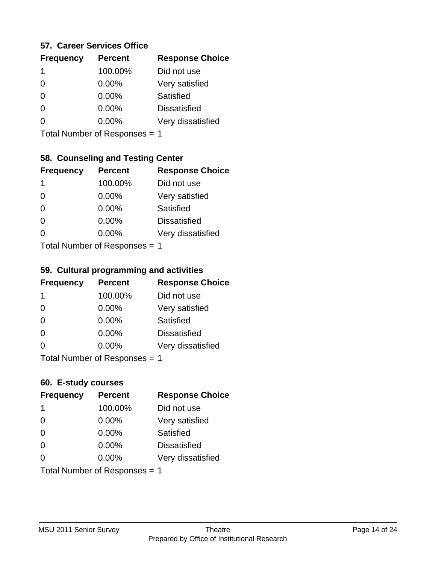### **57. Career Services Office**

| <b>Frequency</b> | <b>Percent</b> | <b>Response Choice</b> |
|------------------|----------------|------------------------|
| 1                | 100.00%        | Did not use            |
| 0                | 0.00%          | Very satisfied         |
| 0                | $0.00\%$       | Satisfied              |
|                  | $0.00\%$       | <b>Dissatisfied</b>    |
|                  | $0.00\%$       | Very dissatisfied      |
|                  |                |                        |

Total Number of Responses = 1

## **58. Counseling and Testing Center**

| <b>Frequency</b> | <b>Percent</b>                | <b>Response Choice</b> |
|------------------|-------------------------------|------------------------|
| 1                | 100.00%                       | Did not use            |
| $\Omega$         | 0.00%                         | Very satisfied         |
| $\Omega$         | 0.00%                         | <b>Satisfied</b>       |
| $\Omega$         | 0.00%                         | <b>Dissatisfied</b>    |
| 0                | 0.00%                         | Very dissatisfied      |
|                  | $Total Number of Denonce = 4$ |                        |

Total Number of Responses = 1

#### **59. Cultural programming and activities**

| <b>Frequency</b>              | <b>Percent</b> | <b>Response Choice</b> |
|-------------------------------|----------------|------------------------|
| $\mathbf 1$                   | 100.00%        | Did not use            |
| $\Omega$                      | 0.00%          | Very satisfied         |
| $\Omega$                      | 0.00%          | <b>Satisfied</b>       |
| $\Omega$                      | $0.00\%$       | <b>Dissatisfied</b>    |
| $\Omega$                      | $0.00\%$       | Very dissatisfied      |
| Total Number of Responses = 1 |                |                        |

### **60. E-study courses**

| <b>Frequency</b>              | <b>Percent</b> | <b>Response Choice</b> |
|-------------------------------|----------------|------------------------|
| -1                            | 100.00%        | Did not use            |
| $\Omega$                      | 0.00%          | Very satisfied         |
| $\Omega$                      | 0.00%          | Satisfied              |
| $\Omega$                      | 0.00%          | <b>Dissatisfied</b>    |
| ∩                             | $0.00\%$       | Very dissatisfied      |
| Total Number of Responses = 1 |                |                        |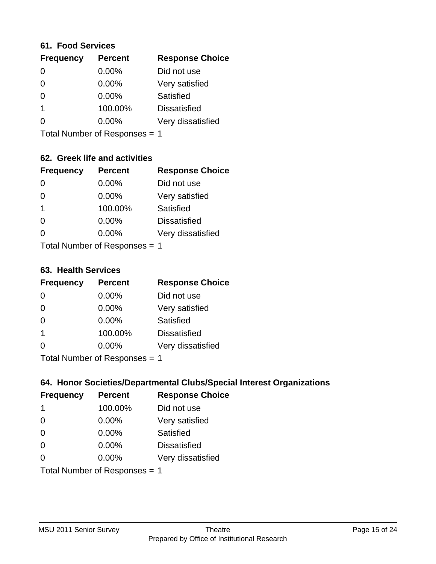#### **61. Food Services**

| <b>Frequency</b> | <b>Percent</b> | <b>Response Choice</b> |
|------------------|----------------|------------------------|
| $\Omega$         | 0.00%          | Did not use            |
| $\Omega$         | 0.00%          | Very satisfied         |
| 0                | $0.00\%$       | Satisfied              |
|                  | 100.00%        | <b>Dissatisfied</b>    |
|                  | $0.00\%$       | Very dissatisfied      |
|                  |                |                        |

Total Number of Responses = 1

# **62. Greek life and activities**

| <b>Frequency</b>              | <b>Percent</b> | <b>Response Choice</b> |
|-------------------------------|----------------|------------------------|
|                               | 0.00%          | Did not use            |
| 0                             | 0.00%          | Very satisfied         |
| 1                             | 100.00%        | Satisfied              |
| 0                             | 0.00%          | <b>Dissatisfied</b>    |
|                               | $0.00\%$       | Very dissatisfied      |
| Total Number of Responses = 1 |                |                        |

#### **63. Health Services**

| <b>Frequency</b>          | <b>Percent</b> | <b>Response Choice</b> |
|---------------------------|----------------|------------------------|
| $\Omega$                  | $0.00\%$       | Did not use            |
| $\Omega$                  | 0.00%          | Very satisfied         |
| $\Omega$                  | $0.00\%$       | Satisfied              |
| $\overline{\mathbf{1}}$   | 100.00%        | <b>Dissatisfied</b>    |
| $\Omega$                  | 0.00%          | Very dissatisfied      |
| Total Number of Desponses |                |                        |

Total Number of Responses = 1

## **64. Honor Societies/Departmental Clubs/Special Interest Organizations**

| <b>Frequency</b> | <b>Percent</b>                | <b>Response Choice</b> |
|------------------|-------------------------------|------------------------|
| 1                | 100.00%                       | Did not use            |
| $\Omega$         | 0.00%                         | Very satisfied         |
| $\Omega$         | 0.00%                         | Satisfied              |
| $\Omega$         | 0.00%                         | <b>Dissatisfied</b>    |
| $\Omega$         | 0.00%                         | Very dissatisfied      |
|                  | Total Number of Responses = 1 |                        |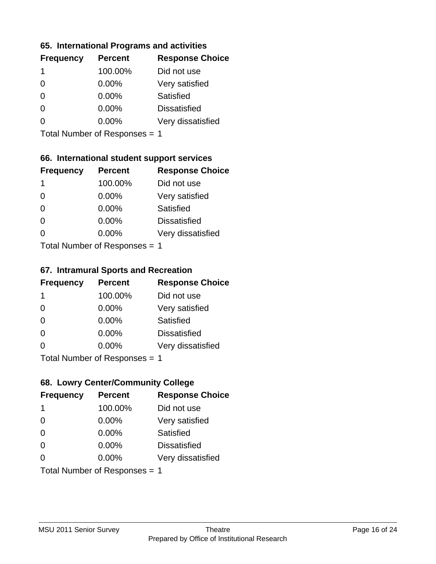## **65. International Programs and activities**

| <b>Frequency</b> | <b>Percent</b> | <b>Response Choice</b> |
|------------------|----------------|------------------------|
| 1                | 100.00%        | Did not use            |
| 0                | 0.00%          | Very satisfied         |
| 0                | $0.00\%$       | Satisfied              |
| O                | $0.00\%$       | <b>Dissatisfied</b>    |
|                  | $0.00\%$       | Very dissatisfied      |
|                  |                |                        |

Total Number of Responses = 1

## **66. International student support services**

| <b>Frequency</b>          | <b>Percent</b> | <b>Response Choice</b> |
|---------------------------|----------------|------------------------|
| 1                         | 100.00%        | Did not use            |
| $\Omega$                  | 0.00%          | Very satisfied         |
| $\Omega$                  | 0.00%          | Satisfied              |
| $\Omega$                  | 0.00%          | <b>Dissatisfied</b>    |
| 0                         | 0.00%          | Very dissatisfied      |
| Total Number of DoEROR 0. |                |                        |

Total Number of Responses = 1

#### **67. Intramural Sports and Recreation**

| <b>Frequency</b> | <b>Percent</b>                | <b>Response Choice</b> |
|------------------|-------------------------------|------------------------|
| -1               | 100.00%                       | Did not use            |
| $\Omega$         | $0.00\%$                      | Very satisfied         |
| $\Omega$         | $0.00\%$                      | Satisfied              |
| $\Omega$         | 0.00%                         | <b>Dissatisfied</b>    |
| $\Omega$         | $0.00\%$                      | Very dissatisfied      |
|                  | $Total Number of Denonce = 1$ |                        |

Total Number of Responses = 1

# **68. Lowry Center/Community College**

| <b>Frequency</b> | <b>Percent</b>                | <b>Response Choice</b> |
|------------------|-------------------------------|------------------------|
| 1                | 100.00%                       | Did not use            |
| $\Omega$         | 0.00%                         | Very satisfied         |
| $\Omega$         | 0.00%                         | Satisfied              |
| $\Omega$         | 0.00%                         | <b>Dissatisfied</b>    |
| 0                | $0.00\%$                      | Very dissatisfied      |
|                  | Total Number of Responses = 1 |                        |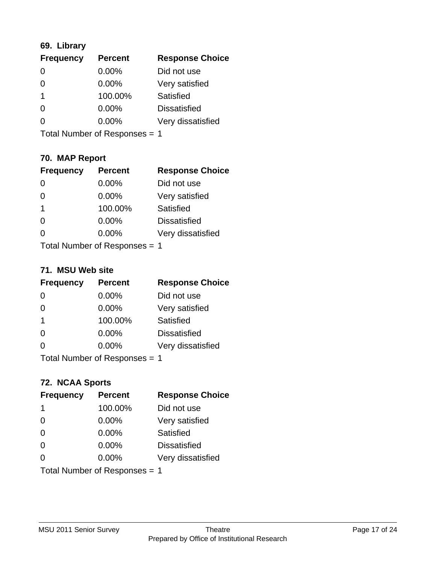# **69. Library**

| <b>Frequency</b> | <b>Percent</b> | <b>Response Choice</b> |
|------------------|----------------|------------------------|
| 0                | 0.00%          | Did not use            |
| 0                | 0.00%          | Very satisfied         |
|                  | 100.00%        | Satisfied              |
| 0                | $0.00\%$       | <b>Dissatisfied</b>    |
|                  | $0.00\%$       | Very dissatisfied      |
|                  |                |                        |

Total Number of Responses = 1

# **70. MAP Report**

| <b>Frequency</b>              | <b>Percent</b> | <b>Response Choice</b> |
|-------------------------------|----------------|------------------------|
|                               | 0.00%          | Did not use            |
| 0                             | 0.00%          | Very satisfied         |
| 1                             | 100.00%        | <b>Satisfied</b>       |
| 0                             | 0.00%          | <b>Dissatisfied</b>    |
|                               | $0.00\%$       | Very dissatisfied      |
| Total Number of Responses = 1 |                |                        |

#### **71. MSU Web site**

| <b>Frequency</b>              | <b>Percent</b> | <b>Response Choice</b> |
|-------------------------------|----------------|------------------------|
| $\Omega$                      | $0.00\%$       | Did not use            |
| $\Omega$                      | 0.00%          | Very satisfied         |
| -1                            | 100.00%        | <b>Satisfied</b>       |
| $\Omega$                      | 0.00%          | <b>Dissatisfied</b>    |
| ∩                             | 0.00%          | Very dissatisfied      |
| Total Number of Responses = 1 |                |                        |

# **72. NCAA Sports**

| <b>Frequency</b>              | <b>Percent</b> | <b>Response Choice</b> |
|-------------------------------|----------------|------------------------|
| 1                             | 100.00%        | Did not use            |
| $\Omega$                      | $0.00\%$       | Very satisfied         |
| $\Omega$                      | $0.00\%$       | Satisfied              |
| $\Omega$                      | 0.00%          | <b>Dissatisfied</b>    |
| $\Omega$                      | $0.00\%$       | Very dissatisfied      |
| Total Number of Responses = 1 |                |                        |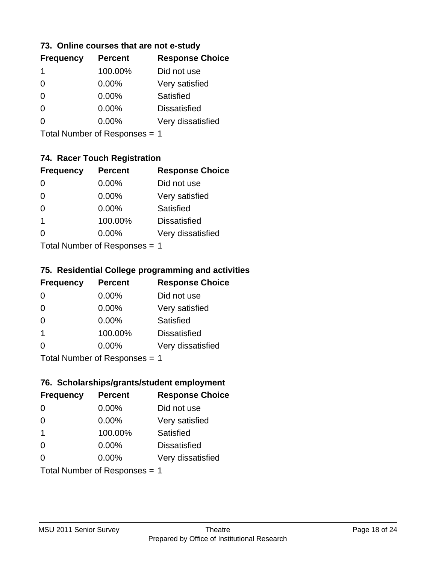## **73. Online courses that are not e-study**

| <b>Percent</b> | <b>Response Choice</b> |
|----------------|------------------------|
| 100.00%        | Did not use            |
| $0.00\%$       | Very satisfied         |
| $0.00\%$       | Satisfied              |
| $0.00\%$       | <b>Dissatisfied</b>    |
| $0.00\%$       | Very dissatisfied      |
|                |                        |

Total Number of Responses = 1

# **74. Racer Touch Registration**

| <b>Frequency</b>              | <b>Percent</b> | <b>Response Choice</b> |
|-------------------------------|----------------|------------------------|
| $\Omega$                      | 0.00%          | Did not use            |
| 0                             | 0.00%          | Very satisfied         |
| $\Omega$                      | 0.00%          | Satisfied              |
| 1                             | 100.00%        | <b>Dissatisfied</b>    |
|                               | 0.00%          | Very dissatisfied      |
| $Total Number of Denonce = 1$ |                |                        |

Total Number of Responses = 1

## **75. Residential College programming and activities**

| <b>Frequency</b>            | <b>Percent</b> | <b>Response Choice</b> |
|-----------------------------|----------------|------------------------|
| $\Omega$                    | $0.00\%$       | Did not use            |
| $\Omega$                    | 0.00%          | Very satisfied         |
| $\Omega$                    | 0.00%          | Satisfied              |
| -1                          | 100.00%        | <b>Dissatisfied</b>    |
| $\Omega$                    | $0.00\%$       | Very dissatisfied      |
| $Total Number of Denonce 4$ |                |                        |

Total Number of Responses = 1

# **76. Scholarships/grants/student employment**

| <b>Frequency</b>              | <b>Percent</b> | <b>Response Choice</b> |
|-------------------------------|----------------|------------------------|
| $\Omega$                      | 0.00%          | Did not use            |
| $\Omega$                      | $0.00\%$       | Very satisfied         |
| $\mathbf 1$                   | 100.00%        | Satisfied              |
| $\Omega$                      | $0.00\%$       | <b>Dissatisfied</b>    |
| $\Omega$                      | 0.00%          | Very dissatisfied      |
| Total Number of Responses = 1 |                |                        |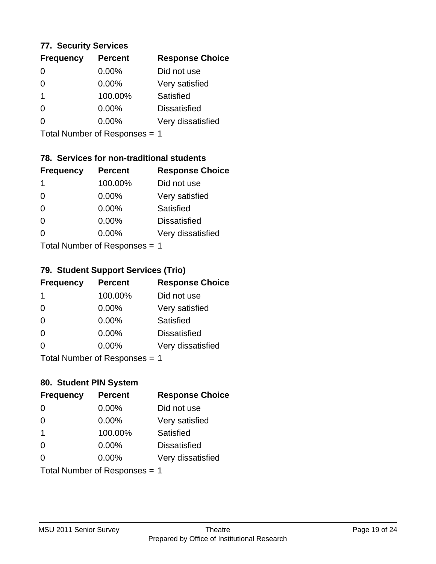# **77. Security Services**

| <b>Frequency</b> | <b>Percent</b> | <b>Response Choice</b> |
|------------------|----------------|------------------------|
| 0                | $0.00\%$       | Did not use            |
| 0                | 0.00%          | Very satisfied         |
| 1                | 100.00%        | Satisfied              |
| 0                | $0.00\%$       | <b>Dissatisfied</b>    |
|                  | $0.00\%$       | Very dissatisfied      |
|                  |                |                        |

Total Number of Responses = 1

# **78. Services for non-traditional students**

| <b>Frequency</b>              | <b>Percent</b> | <b>Response Choice</b> |
|-------------------------------|----------------|------------------------|
| -1                            | 100.00%        | Did not use            |
| $\Omega$                      | 0.00%          | Very satisfied         |
| $\Omega$                      | 0.00%          | <b>Satisfied</b>       |
| $\Omega$                      | 0.00%          | <b>Dissatisfied</b>    |
| 0                             | 0.00%          | Very dissatisfied      |
| $Total Number of Denonce = 4$ |                |                        |

Total Number of Responses = 1

## **79. Student Support Services (Trio)**

| <b>Frequency</b>            | <b>Percent</b> | <b>Response Choice</b> |
|-----------------------------|----------------|------------------------|
| -1                          | 100.00%        | Did not use            |
| $\Omega$                    | 0.00%          | Very satisfied         |
| $\Omega$                    | 0.00%          | Satisfied              |
| $\Omega$                    | 0.00%          | <b>Dissatisfied</b>    |
| $\Omega$                    | 0.00%          | Very dissatisfied      |
| $Total Number of Denonce 4$ |                |                        |

Total Number of Responses = 1

# **80. Student PIN System**

| <b>Frequency</b>              | <b>Percent</b> | <b>Response Choice</b> |
|-------------------------------|----------------|------------------------|
| 0                             | $0.00\%$       | Did not use            |
| $\Omega$                      | 0.00%          | Very satisfied         |
| $\overline{\mathbf{1}}$       | 100.00%        | Satisfied              |
| $\Omega$                      | $0.00\%$       | <b>Dissatisfied</b>    |
| $\Omega$                      | $0.00\%$       | Very dissatisfied      |
| Total Number of Responses = 1 |                |                        |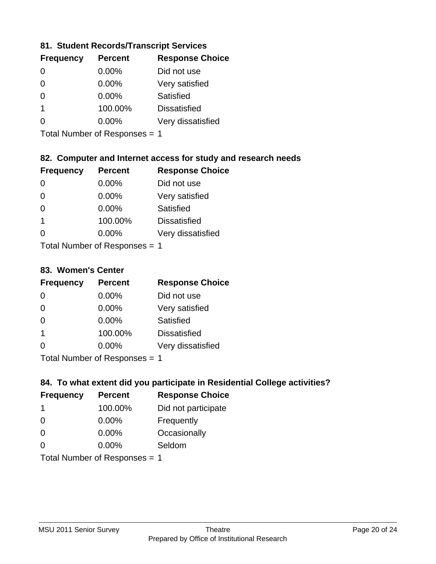## **81. Student Records/Transcript Services**

| <b>Percent</b> | <b>Response Choice</b> |
|----------------|------------------------|
| 0.00%          | Did not use            |
| 0.00%          | Very satisfied         |
| 0.00%          | Satisfied              |
| 100.00%        | <b>Dissatisfied</b>    |
| $0.00\%$       | Very dissatisfied      |
|                |                        |

Total Number of Responses = 1

## **82. Computer and Internet access for study and research needs**

| <b>Frequency</b>            | <b>Percent</b> | <b>Response Choice</b> |  |
|-----------------------------|----------------|------------------------|--|
| $\Omega$                    | 0.00%          | Did not use            |  |
| $\Omega$                    | 0.00%          | Very satisfied         |  |
| $\Omega$                    | 0.00%          | Satisfied              |  |
| 1                           | 100.00%        | <b>Dissatisfied</b>    |  |
| 0                           | 0.00%          | Very dissatisfied      |  |
| Total Number of Denonce < 4 |                |                        |  |

I otal Number of Responses = 1

### **83. Women's Center**

| <b>Frequency</b>           | <b>Percent</b> | <b>Response Choice</b> |
|----------------------------|----------------|------------------------|
| $\Omega$                   | $0.00\%$       | Did not use            |
| $\Omega$                   | $0.00\%$       | Very satisfied         |
| $\Omega$                   | $0.00\%$       | Satisfied              |
| -1                         | 100.00%        | <b>Dissatisfied</b>    |
| $\Omega$                   | $0.00\%$       | Very dissatisfied      |
| Total Number of Deepersoon |                |                        |

Total Number of Responses = 1

# **84. To what extent did you participate in Residential College activities?**

| <b>Frequency</b>          | <b>Percent</b> | <b>Response Choice</b> |  |
|---------------------------|----------------|------------------------|--|
| 1                         | 100.00%        | Did not participate    |  |
| $\Omega$                  | 0.00%          | Frequently             |  |
| $\Omega$                  | 0.00%          | Occasionally           |  |
| ∩                         | 0.00%          | Seldom                 |  |
| Total Number of Deepensee |                |                        |  |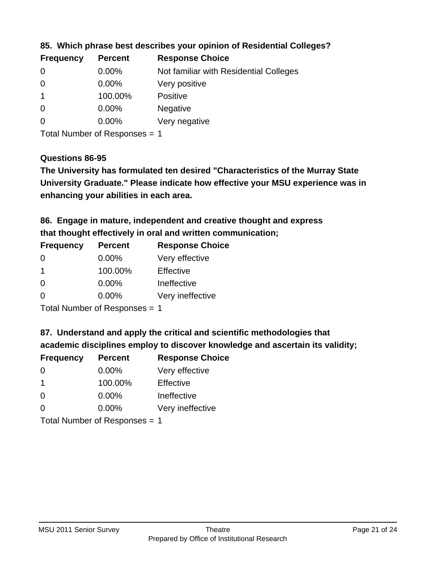| <b>Frequency</b> | <b>Percent</b> | <b>Response Choice</b>                 |
|------------------|----------------|----------------------------------------|
| 0                | $0.00\%$       | Not familiar with Residential Colleges |
| $\overline{0}$   | $0.00\%$       | Very positive                          |
|                  | 100.00%        | Positive                               |
| 0                | $0.00\%$       | <b>Negative</b>                        |
| $\overline{0}$   | $0.00\%$       | Very negative                          |
|                  |                |                                        |

**85. Which phrase best describes your opinion of Residential Colleges?**

Total Number of Responses = 1

### **Questions 86-95**

**University Graduate." Please indicate how effective your MSU experience was in The University has formulated ten desired "Characteristics of the Murray State enhancing your abilities in each area.**

**86. Engage in mature, independent and creative thought and express that thought effectively in oral and written communication;**

| <b>Frequency</b> | <b>Percent</b> | <b>Response Choice</b> |
|------------------|----------------|------------------------|
| $\Omega$         | $0.00\%$       | Very effective         |
|                  | 100.00%        | Effective              |
| $\Omega$         | 0.00%          | Ineffective            |
| $\Omega$         | 0.00%          | Very ineffective       |

Total Number of Responses = 1

**87. Understand and apply the critical and scientific methodologies that** 

**academic disciplines employ to discover knowledge and ascertain its validity;**

| <b>Frequency</b>            | <b>Percent</b> | <b>Response Choice</b> |
|-----------------------------|----------------|------------------------|
| 0                           | 0.00%          | Very effective         |
| $\overline{1}$              | 100.00%        | Effective              |
| $\Omega$                    | 0.00%          | Ineffective            |
| $\Omega$                    | 0.00%          | Very ineffective       |
| Tatal Manuala and Dannanana |                |                        |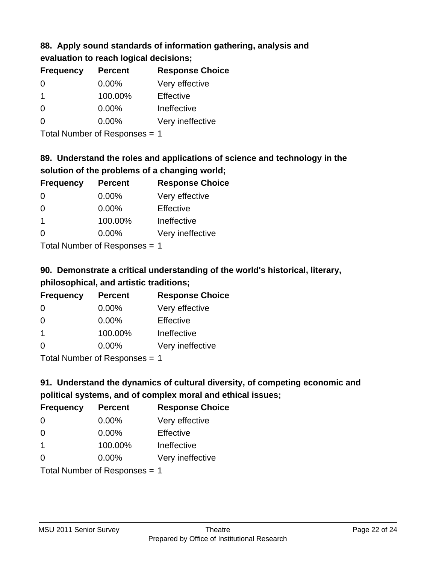## **88. Apply sound standards of information gathering, analysis and evaluation to reach logical decisions;**

| <b>Frequency</b> | <b>Percent</b> | <b>Response Choice</b> |  |
|------------------|----------------|------------------------|--|
| $\Omega$         | 0.00%          | Very effective         |  |
| $\mathbf 1$      | 100.00%        | Effective              |  |
| 0                | 0.00%          | Ineffective            |  |
| $\Omega$         | 0.00%          | Very ineffective       |  |
|                  |                |                        |  |

Total Number of Responses = 1

# **89. Understand the roles and applications of science and technology in the solution of the problems of a changing world;**

| <b>Frequency</b>          | <b>Percent</b> | <b>Response Choice</b> |
|---------------------------|----------------|------------------------|
| $\Omega$                  | $0.00\%$       | Very effective         |
| $\Omega$                  | $0.00\%$       | Effective              |
| $\mathbf 1$               | 100.00%        | Ineffective            |
| $\Omega$                  | 0.00%          | Very ineffective       |
| Total Number of Desponses |                |                        |

Total Number of Responses = 1

# **90. Demonstrate a critical understanding of the world's historical, literary, philosophical, and artistic traditions;**

| <b>Frequency</b> | <b>Percent</b> | <b>Response Choice</b> |
|------------------|----------------|------------------------|
| $\Omega$         | $0.00\%$       | Very effective         |
| $\Omega$         | 0.00%          | Effective              |
| -1               | 100.00%        | Ineffective            |
| $\Omega$         | 0.00%          | Very ineffective       |
|                  |                |                        |

Total Number of Responses = 1

# **91. Understand the dynamics of cultural diversity, of competing economic and political systems, and of complex moral and ethical issues;**

| <b>Frequency</b> | <b>Percent</b>                | <b>Response Choice</b> |
|------------------|-------------------------------|------------------------|
| $\Omega$         | $0.00\%$                      | Very effective         |
| $\Omega$         | $0.00\%$                      | Effective              |
| $\overline{1}$   | 100.00%                       | Ineffective            |
| $\Omega$         | $0.00\%$                      | Very ineffective       |
|                  | Total Number of Responses = 1 |                        |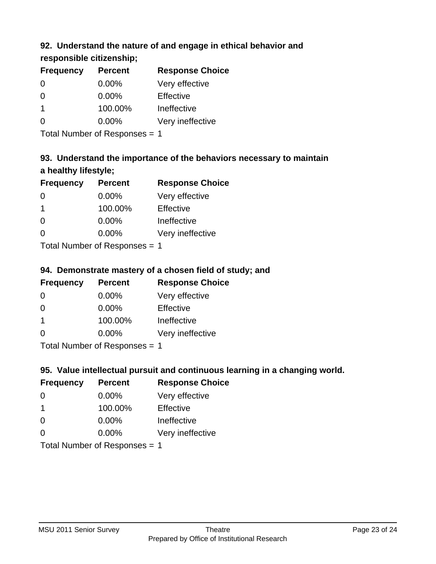# **92. Understand the nature of and engage in ethical behavior and**

# **responsible citizenship;**

| <b>Frequency</b> | <b>Percent</b> | <b>Response Choice</b> |
|------------------|----------------|------------------------|
| $\Omega$         | $0.00\%$       | Very effective         |
| 0                | $0.00\%$       | Effective              |
| 1                | 100.00%        | Ineffective            |
| O                | $0.00\%$       | Very ineffective       |
|                  |                |                        |

Total Number of Responses = 1

# **93. Understand the importance of the behaviors necessary to maintain a healthy lifestyle;**

| <b>Frequency</b> | <b>Percent</b>            | <b>Response Choice</b> |
|------------------|---------------------------|------------------------|
| $\Omega$         | $0.00\%$                  | Very effective         |
| -1               | 100.00%                   | Effective              |
| $\Omega$         | $0.00\%$                  | Ineffective            |
| $\Omega$         | 0.00%                     | Very ineffective       |
|                  | Total Number of Deepensee |                        |

Total Number of Responses = 1

# **94. Demonstrate mastery of a chosen field of study; and**

| <b>Frequency</b> | <b>Percent</b> | <b>Response Choice</b> |
|------------------|----------------|------------------------|
| 0                | 0.00%          | Very effective         |
| 0                | 0.00%          | Effective              |
|                  | 100.00%        | Ineffective            |
| $\Omega$         | 0.00%          | Very ineffective       |
|                  |                |                        |

Total Number of Responses = 1

# **95. Value intellectual pursuit and continuous learning in a changing world.**

| <b>Frequency</b> | <b>Percent</b>             | <b>Response Choice</b> |
|------------------|----------------------------|------------------------|
| $\Omega$         | $0.00\%$                   | Very effective         |
| $\mathbf 1$      | 100.00%                    | Effective              |
| $\overline{0}$   | 0.00%                      | Ineffective            |
| $\Omega$         | 0.00%                      | Very ineffective       |
|                  | Total Number of Denonone – |                        |